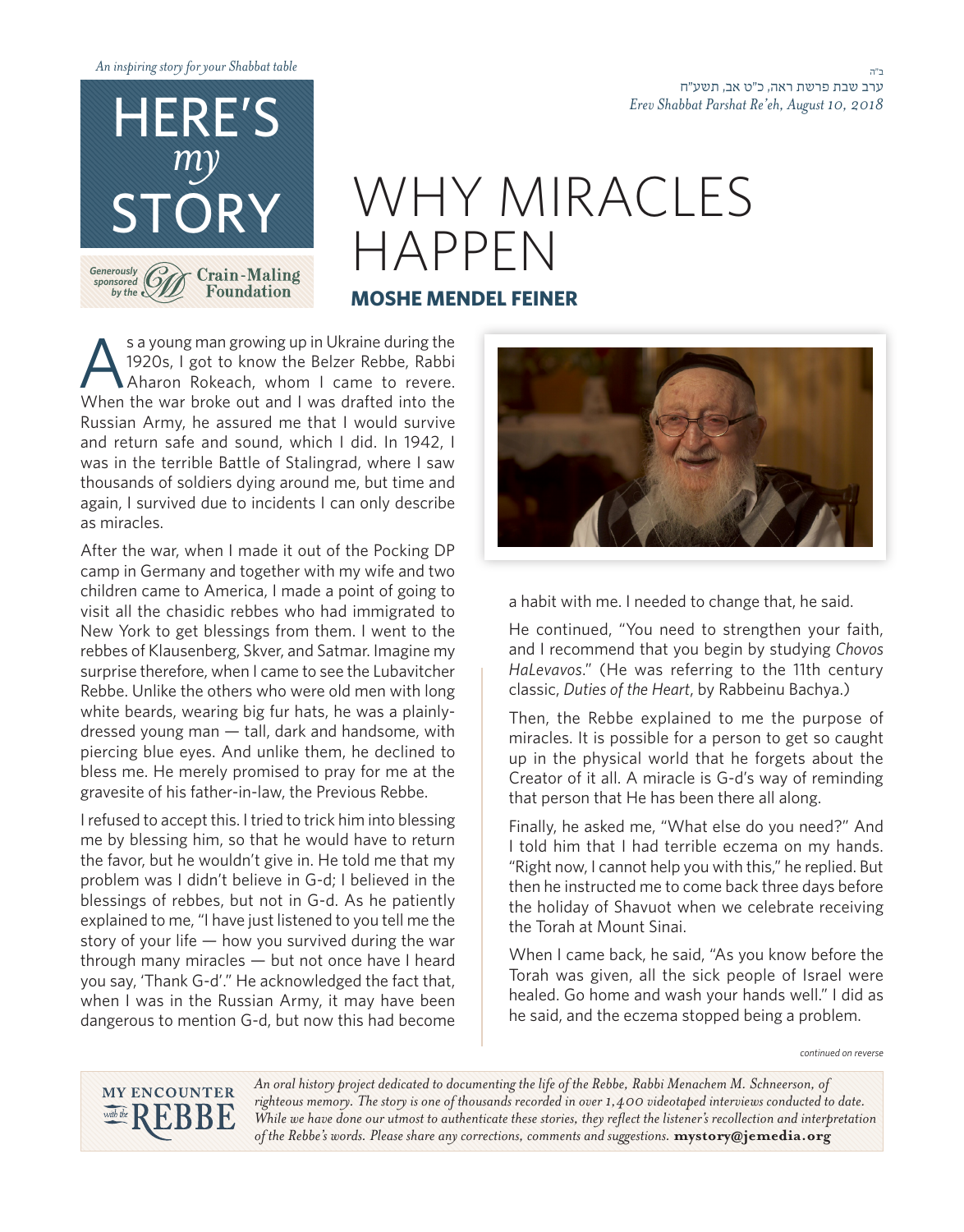

## WHY MIRACLES HAPPEN

## **MOSHE MENDEL FEINER**

s a young man growing up in Ukraine during the<br>1920s, I got to know the Belzer Rebbe, Rabbi<br>Aharon Rokeach, whom I came to revere. 1920s, I got to know the Belzer Rebbe, Rabbi Aharon Rokeach, whom I came to revere. When the war broke out and I was drafted into the Russian Army, he assured me that I would survive and return safe and sound, which I did. In 1942, I was in the terrible Battle of Stalingrad, where I saw thousands of soldiers dying around me, but time and again, I survived due to incidents I can only describe as miracles.

After the war, when I made it out of the Pocking DP camp in Germany and together with my wife and two children came to America, I made a point of going to visit all the chasidic rebbes who had immigrated to New York to get blessings from them. I went to the rebbes of Klausenberg, Skver, and Satmar. Imagine my surprise therefore, when I came to see the Lubavitcher Rebbe. Unlike the others who were old men with long dressed young man  $-$  tall, dark and handsome, with white beards, wearing big fur hats, he was a plainlypiercing blue eyes. And unlike them, he declined to bless me. He merely promised to pray for me at the gravesite of his father-in-law, the Previous Rebbe.

I refused to accept this. I tried to trick him into blessing me by blessing him, so that he would have to return the favor, but he wouldn't give in. He told me that my problem was I didn't believe in G-d; I believed in the blessings of rebbes, but not in G-d. As he patiently explained to me, "I have just listened to you tell me the story of your life  $-$  how you survived during the war through many miracles  $-$  but not once have I heard you say, 'Thank G-d'." He acknowledged the fact that, when I was in the Russian Army, it may have been dangerous to mention G-d, but now this had become



a habit with me. I needed to change that, he said.

He continued, "You need to strengthen your faith, and I recommend that you begin by studying Chovos HaLevavos." (He was referring to the 11th century classic, Duties of the Heart, by Rabbeinu Bachya.)

Then, the Rebbe explained to me the purpose of miracles. It is possible for a person to get so caught up in the physical world that he forgets about the Creator of it all. A miracle is G-d's way of reminding that person that He has been there all along.

Finally, he asked me, "What else do you need?" And I told him that I had terrible eczema on my hands. "Right now, I cannot help you with this," he replied. But then he instructed me to come back three days before the holiday of Shavuot when we celebrate receiving the Torah at Mount Sinai.

When I came back, he said, "As you know before the Torah was given, all the sick people of Israel were healed. Go home and wash your hands well." I did as he said, and the eczema stopped being a problem.

*reverse on continued*



An oral history project dedicated to documenting the life of the Rebbe, Rabbi Menachem M. Schneerson, of righteous memory. The story is one of thousands recorded in over 1,400 videotaped interviews conducted to date. While we have done our utmost to authenticate these stories, they reflect the listener's recollection and interpretation of the Rebbe's words. Please share any corrections, comments and suggestions. mystory@jemedia.org